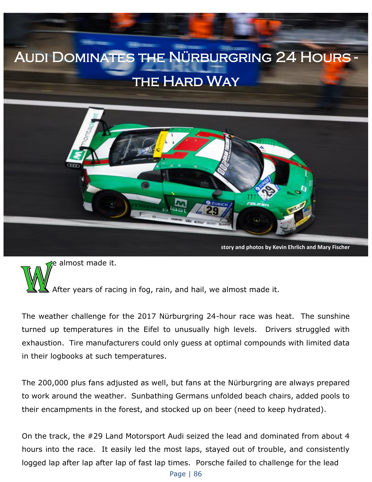## Audi Dominates the Nürburgring 24 Hours - **THE HARD WAY**



e almost made it.

After years of racing in fog, rain, and hail, we almost made it.

The weather challenge for the 2017 Nürburgring 24-hour race was heat. The sunshine turned up temperatures in the Eifel to unusually high levels. Drivers struggled with exhaustion. Tire manufacturers could only guess at optimal compounds with limited data in their logbooks at such temperatures.

The 200,000 plus fans adjusted as well, but fans at the Nürburgring are always prepared to work around the weather. Sunbathing Germans unfolded beach chairs, added pools to their encampments in the forest, and stocked up on beer (need to keep hydrated).

On the track, the #29 Land Motorsport Audi seized the lead and dominated from about 4 hours into the race. It easily led the most laps, stayed out of trouble, and consistently logged lap after lap after lap of fast lap times. Porsche failed to challenge for the lead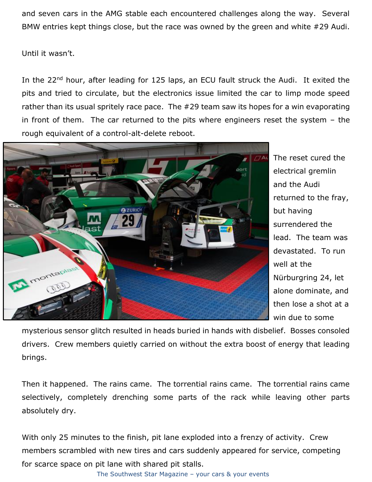and seven cars in the AMG stable each encountered challenges along the way. Several BMW entries kept things close, but the race was owned by the green and white #29 Audi.

Until it wasn't.

In the 22<sup>nd</sup> hour, after leading for 125 laps, an ECU fault struck the Audi. It exited the pits and tried to circulate, but the electronics issue limited the car to limp mode speed rather than its usual spritely race pace. The #29 team saw its hopes for a win evaporating in front of them. The car returned to the pits where engineers reset the system – the rough equivalent of a control-alt-delete reboot.



The reset cured the electrical gremlin and the Audi returned to the fray, but having surrendered the lead. The team was devastated. To run well at the Nürburgring 24, let alone dominate, and then lose a shot at a win due to some

mysterious sensor glitch resulted in heads buried in hands with disbelief. Bosses consoled drivers. Crew members quietly carried on without the extra boost of energy that leading brings.

Then it happened. The rains came. The torrential rains came. The torrential rains came selectively, completely drenching some parts of the rack while leaving other parts absolutely dry.

With only 25 minutes to the finish, pit lane exploded into a frenzy of activity. Crew members scrambled with new tires and cars suddenly appeared for service, competing for scarce space on pit lane with shared pit stalls.

The Southwest Star Magazine – your cars & your events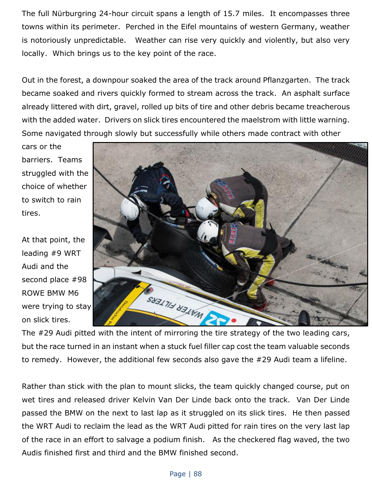The full Nürburgring 24-hour circuit spans a length of 15.7 miles. It encompasses three towns within its perimeter. Perched in the Eifel mountains of western Germany, weather is notoriously unpredictable. Weather can rise very quickly and violently, but also very locally. Which brings us to the key point of the race.

Out in the forest, a downpour soaked the area of the track around Pflanzgarten. The track became soaked and rivers quickly formed to stream across the track. An asphalt surface already littered with dirt, gravel, rolled up bits of tire and other debris became treacherous with the added water. Drivers on slick tires encountered the maelstrom with little warning. Some navigated through slowly but successfully while others made contract with other

cars or the barriers. Teams struggled with the choice of whether to switch to rain tires.

At that point, the leading #9 WRT Audi and the second place #98 ROWE BMW M6 were trying to stay on slick tires.



The #29 Audi pitted with the intent of mirroring the tire strategy of the two leading cars, but the race turned in an instant when a stuck fuel filler cap cost the team valuable seconds to remedy. However, the additional few seconds also gave the #29 Audi team a lifeline.

Rather than stick with the plan to mount slicks, the team quickly changed course, put on wet tires and released driver Kelvin Van Der Linde back onto the track. Van Der Linde passed the BMW on the next to last lap as it struggled on its slick tires. He then passed the WRT Audi to reclaim the lead as the WRT Audi pitted for rain tires on the very last lap of the race in an effort to salvage a podium finish. As the checkered flag waved, the two Audis finished first and third and the BMW finished second.

## Page | 88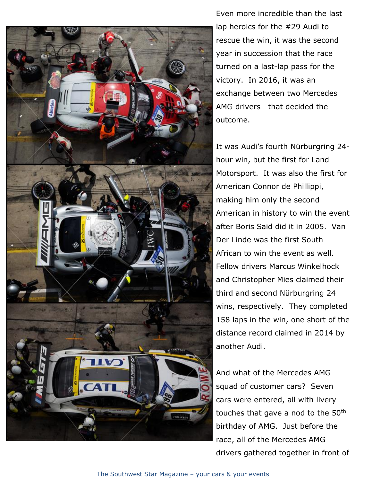

Even more incredible than the last lap heroics for the #29 Audi to rescue the win, it was the second year in succession that the race turned on a last-lap pass for the victory. In 2016, it was an exchange between two Mercedes AMG drivers that decided the outcome.

It was Audi's fourth Nürburgring 24 hour win, but the first for Land Motorsport. It was also the first for American Connor de Phillippi, making him only the second American in history to win the event after Boris Said did it in 2005. Van Der Linde was the first South African to win the event as well. Fellow drivers Marcus Winkelhock and Christopher Mies claimed their third and second Nürburgring 24 wins, respectively. They completed 158 laps in the win, one short of the distance record claimed in 2014 by another Audi.

And what of the Mercedes AMG squad of customer cars? Seven cars were entered, all with livery touches that gave a nod to the 50th birthday of AMG. Just before the race, all of the Mercedes AMG drivers gathered together in front of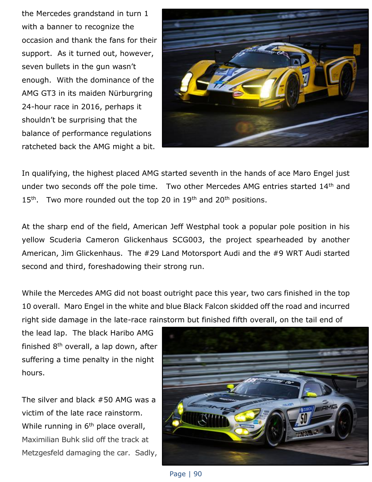the Mercedes grandstand in turn 1 with a banner to recognize the occasion and thank the fans for their support. As it turned out, however, seven bullets in the gun wasn't enough. With the dominance of the AMG GT3 in its maiden Nürburgring 24-hour race in 2016, perhaps it shouldn't be surprising that the balance of performance regulations ratcheted back the AMG might a bit.



In qualifying, the highest placed AMG started seventh in the hands of ace Maro Engel just under two seconds off the pole time. Two other Mercedes AMG entries started 14<sup>th</sup> and  $15<sup>th</sup>$ . Two more rounded out the top 20 in  $19<sup>th</sup>$  and  $20<sup>th</sup>$  positions.

At the sharp end of the field, American Jeff Westphal took a popular pole position in his yellow Scuderia Cameron Glickenhaus SCG003, the project spearheaded by another American, Jim Glickenhaus. The #29 Land Motorsport Audi and the #9 WRT Audi started second and third, foreshadowing their strong run.

While the Mercedes AMG did not boast outright pace this year, two cars finished in the top 10 overall. Maro Engel in the white and blue Black Falcon skidded off the road and incurred right side damage in the late-race rainstorm but finished fifth overall, on the tail end of

the lead lap. The black Haribo AMG finished  $8<sup>th</sup>$  overall, a lap down, after suffering a time penalty in the night hours.

The silver and black #50 AMG was a victim of the late race rainstorm. While running in 6<sup>th</sup> place overall, Maximilian Buhk slid off the track at Metzgesfeld damaging the car. Sadly,



Page | 90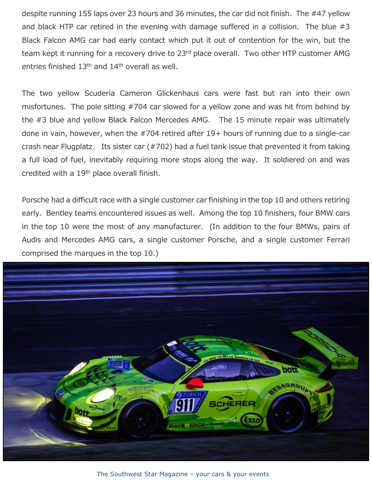despite running 155 laps over 23 hours and 36 minutes, the car did not finish. The #47 yellow and black HTP car retired in the evening with damage suffered in a collision. The blue #3 Black Falcon AMG car had early contact which put it out of contention for the win, but the team kept it running for a recovery drive to 23<sup>rd</sup> place overall. Two other HTP customer AMG entries finished  $13<sup>th</sup>$  and  $14<sup>th</sup>$  overall as well.

The two yellow Scuderia Cameron Glickenhaus cars were fast but ran into their own misfortunes. The pole sitting #704 car slowed for a yellow zone and was hit from behind by the #3 blue and yellow Black Falcon Mercedes AMG. The 15 minute repair was ultimately done in vain, however, when the #704 retired after 19+ hours of running due to a single-car crash near Flugplatz. Its sister car (#702) had a fuel tank issue that prevented it from taking a full load of fuel, inevitably requiring more stops along the way. It soldiered on and was credited with a 19<sup>th</sup> place overall finish.

Porsche had a difficult race with a single customer car finishing in the top 10 and others retiring early. Bentley teams encountered issues as well. Among the top 10 finishers, four BMW cars in the top 10 were the most of any manufacturer. (In addition to the four BMWs, pairs of Audis and Mercedes AMG cars, a single customer Porsche, and a single customer Ferrari comprised the marques in the top 10.)



The Southwest Star Magazine – your cars & your events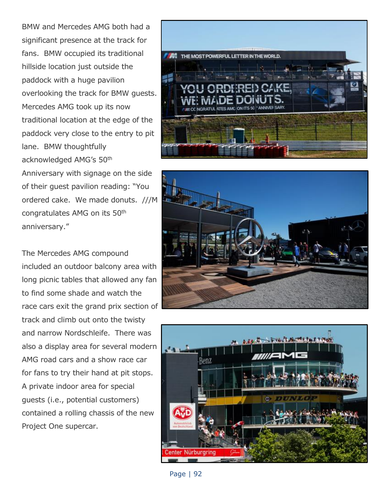BMW and Mercedes AMG both had a significant presence at the track for fans. BMW occupied its traditional hillside location just outside the paddock with a huge pavilion overlooking the track for BMW guests. Mercedes AMG took up its now traditional location at the edge of the paddock very close to the entry to pit lane. BMW thoughtfully acknowledged AMG's 50th Anniversary with signage on the side of their guest pavilion reading: "You ordered cake. We made donuts. ///M congratulates AMG on its 50th

The Mercedes AMG compound included an outdoor balcony area with long picnic tables that allowed any fan to find some shade and watch the race cars exit the grand prix section of track and climb out onto the twisty and narrow Nordschleife. There was also a display area for several modern AMG road cars and a show race car for fans to try their hand at pit stops. A private indoor area for special guests (i.e., potential customers) contained a rolling chassis of the new Project One supercar.

anniversary."







Page | 92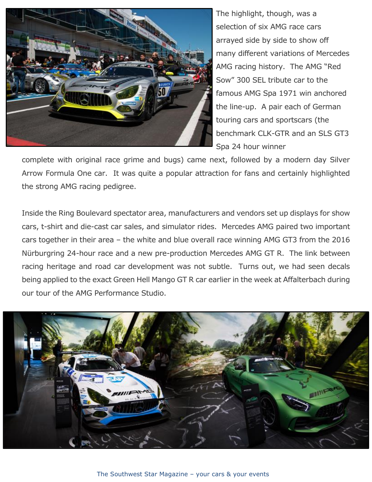

The highlight, though, was a selection of six AMG race cars arrayed side by side to show off many different variations of Mercedes AMG racing history. The AMG "Red Sow" 300 SEL tribute car to the famous AMG Spa 1971 win anchored the line-up. A pair each of German touring cars and sportscars (the benchmark CLK-GTR and an SLS GT3 Spa 24 hour winner

complete with original race grime and bugs) came next, followed by a modern day Silver Arrow Formula One car. It was quite a popular attraction for fans and certainly highlighted the strong AMG racing pedigree.

Inside the Ring Boulevard spectator area, manufacturers and vendors set up displays for show cars, t-shirt and die-cast car sales, and simulator rides. Mercedes AMG paired two important cars together in their area – the white and blue overall race winning AMG GT3 from the 2016 Nürburgring 24-hour race and a new pre-production Mercedes AMG GT R. The link between racing heritage and road car development was not subtle. Turns out, we had seen decals being applied to the exact Green Hell Mango GT R car earlier in the week at Affalterbach during our tour of the AMG Performance Studio.